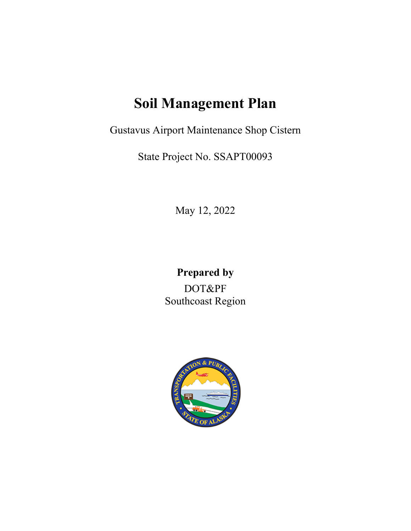# **Soil Management Plan**

Gustavus Airport Maintenance Shop Cistern

State Project No. SSAPT00093

May 12, 2022

# **Prepared by** DOT&PF Southcoast Region

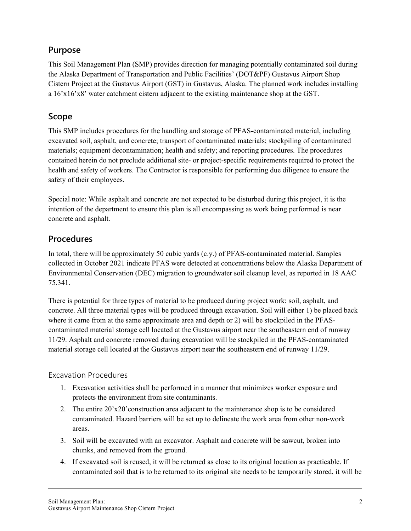## **Purpose**

This Soil Management Plan (SMP) provides direction for managing potentially contaminated soil during the Alaska Department of Transportation and Public Facilities' (DOT&PF) Gustavus Airport Shop Cistern Project at the Gustavus Airport (GST) in Gustavus, Alaska. The planned work includes installing a 16'x16'x8' water catchment cistern adjacent to the existing maintenance shop at the GST.

## **Scope**

This SMP includes procedures for the handling and storage of PFAS-contaminated material, including excavated soil, asphalt, and concrete; transport of contaminated materials; stockpiling of contaminated materials; equipment decontamination; health and safety; and reporting procedures. The procedures contained herein do not preclude additional site- or project-specific requirements required to protect the health and safety of workers. The Contractor is responsible for performing due diligence to ensure the safety of their employees.

Special note: While asphalt and concrete are not expected to be disturbed during this project, it is the intention of the department to ensure this plan is all encompassing as work being performed is near concrete and asphalt.

# **Procedures**

In total, there will be approximately 50 cubic yards (c.y.) of PFAS-contaminated material. Samples collected in October 2021 indicate PFAS were detected at concentrations below the Alaska Department of Environmental Conservation (DEC) migration to groundwater soil cleanup level, as reported in 18 AAC 75.341.

There is potential for three types of material to be produced during project work: soil, asphalt, and concrete. All three material types will be produced through excavation. Soil will either 1) be placed back where it came from at the same approximate area and depth or 2) will be stockpiled in the PFAScontaminated material storage cell located at the Gustavus airport near the southeastern end of runway 11/29. Asphalt and concrete removed during excavation will be stockpiled in the PFAS-contaminated material storage cell located at the Gustavus airport near the southeastern end of runway 11/29.

#### Excavation Procedures

- 1. Excavation activities shall be performed in a manner that minimizes worker exposure and protects the environment from site contaminants.
- 2. The entire 20'x20'construction area adjacent to the maintenance shop is to be considered contaminated. Hazard barriers will be set up to delineate the work area from other non-work areas.
- 3. Soil will be excavated with an excavator. Asphalt and concrete will be sawcut, broken into chunks, and removed from the ground.
- 4. If excavated soil is reused, it will be returned as close to its original location as practicable. If contaminated soil that is to be returned to its original site needs to be temporarily stored, it will be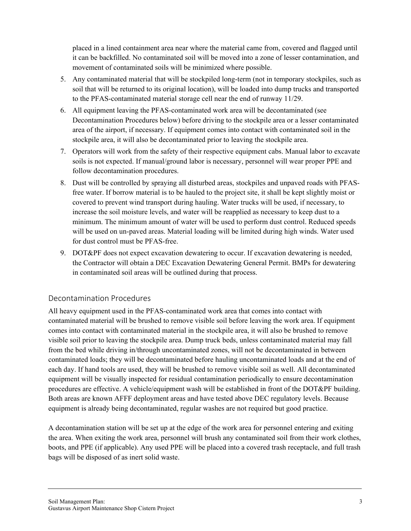placed in a lined containment area near where the material came from, covered and flagged until it can be backfilled. No contaminated soil will be moved into a zone of lesser contamination, and movement of contaminated soils will be minimized where possible.

- 5. Any contaminated material that will be stockpiled long-term (not in temporary stockpiles, such as soil that will be returned to its original location), will be loaded into dump trucks and transported to the PFAS-contaminated material storage cell near the end of runway 11/29.
- 6. All equipment leaving the PFAS-contaminated work area will be decontaminated (see Decontamination Procedures below) before driving to the stockpile area or a lesser contaminated area of the airport, if necessary. If equipment comes into contact with contaminated soil in the stockpile area, it will also be decontaminated prior to leaving the stockpile area.
- 7. Operators will work from the safety of their respective equipment cabs. Manual labor to excavate soils is not expected. If manual/ground labor is necessary, personnel will wear proper PPE and follow decontamination procedures.
- 8. Dust will be controlled by spraying all disturbed areas, stockpiles and unpaved roads with PFASfree water. If borrow material is to be hauled to the project site, it shall be kept slightly moist or covered to prevent wind transport during hauling. Water trucks will be used, if necessary, to increase the soil moisture levels, and water will be reapplied as necessary to keep dust to a minimum. The minimum amount of water will be used to perform dust control. Reduced speeds will be used on un-paved areas. Material loading will be limited during high winds. Water used for dust control must be PFAS-free.
- 9. DOT&PF does not expect excavation dewatering to occur. If excavation dewatering is needed, the Contractor will obtain a DEC Excavation Dewatering General Permit. BMPs for dewatering in contaminated soil areas will be outlined during that process.

#### Decontamination Procedures

All heavy equipment used in the PFAS-contaminated work area that comes into contact with contaminated material will be brushed to remove visible soil before leaving the work area. If equipment comes into contact with contaminated material in the stockpile area, it will also be brushed to remove visible soil prior to leaving the stockpile area. Dump truck beds, unless contaminated material may fall from the bed while driving in/through uncontaminated zones, will not be decontaminated in between contaminated loads; they will be decontaminated before hauling uncontaminated loads and at the end of each day. If hand tools are used, they will be brushed to remove visible soil as well. All decontaminated equipment will be visually inspected for residual contamination periodically to ensure decontamination procedures are effective. A vehicle/equipment wash will be established in front of the DOT&PF building. Both areas are known AFFF deployment areas and have tested above DEC regulatory levels. Because equipment is already being decontaminated, regular washes are not required but good practice.

A decontamination station will be set up at the edge of the work area for personnel entering and exiting the area. When exiting the work area, personnel will brush any contaminated soil from their work clothes, boots, and PPE (if applicable). Any used PPE will be placed into a covered trash receptacle, and full trash bags will be disposed of as inert solid waste.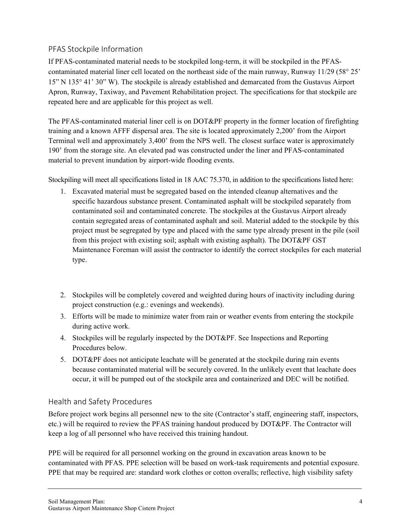#### PFAS Stockpile Information

If PFAS-contaminated material needs to be stockpiled long-term, it will be stockpiled in the PFAScontaminated material liner cell located on the northeast side of the main runway, Runway 11/29 (58° 25' 15" N 135° 41' 30" W). The stockpile is already established and demarcated from the Gustavus Airport Apron, Runway, Taxiway, and Pavement Rehabilitation project. The specifications for that stockpile are repeated here and are applicable for this project as well.

The PFAS-contaminated material liner cell is on DOT&PF property in the former location of firefighting training and a known AFFF dispersal area. The site is located approximately 2,200' from the Airport Terminal well and approximately 3,400' from the NPS well. The closest surface water is approximately 190' from the storage site. An elevated pad was constructed under the liner and PFAS-contaminated material to prevent inundation by airport-wide flooding events.

Stockpiling will meet all specifications listed in 18 AAC 75.370, in addition to the specifications listed here:

- 1. Excavated material must be segregated based on the intended cleanup alternatives and the specific hazardous substance present. Contaminated asphalt will be stockpiled separately from contaminated soil and contaminated concrete. The stockpiles at the Gustavus Airport already contain segregated areas of contaminated asphalt and soil. Material added to the stockpile by this project must be segregated by type and placed with the same type already present in the pile (soil from this project with existing soil; asphalt with existing asphalt). The DOT&PF GST Maintenance Foreman will assist the contractor to identify the correct stockpiles for each material type.
- 2. Stockpiles will be completely covered and weighted during hours of inactivity including during project construction (e.g.: evenings and weekends).
- 3. Efforts will be made to minimize water from rain or weather events from entering the stockpile during active work.
- 4. Stockpiles will be regularly inspected by the DOT&PF. See Inspections and Reporting Procedures below.
- 5. DOT&PF does not anticipate leachate will be generated at the stockpile during rain events because contaminated material will be securely covered. In the unlikely event that leachate does occur, it will be pumped out of the stockpile area and containerized and DEC will be notified.

#### Health and Safety Procedures

Before project work begins all personnel new to the site (Contractor's staff, engineering staff, inspectors, etc.) will be required to review the PFAS training handout produced by DOT&PF. The Contractor will keep a log of all personnel who have received this training handout.

PPE will be required for all personnel working on the ground in excavation areas known to be contaminated with PFAS. PPE selection will be based on work-task requirements and potential exposure. PPE that may be required are: standard work clothes or cotton overalls; reflective, high visibility safety